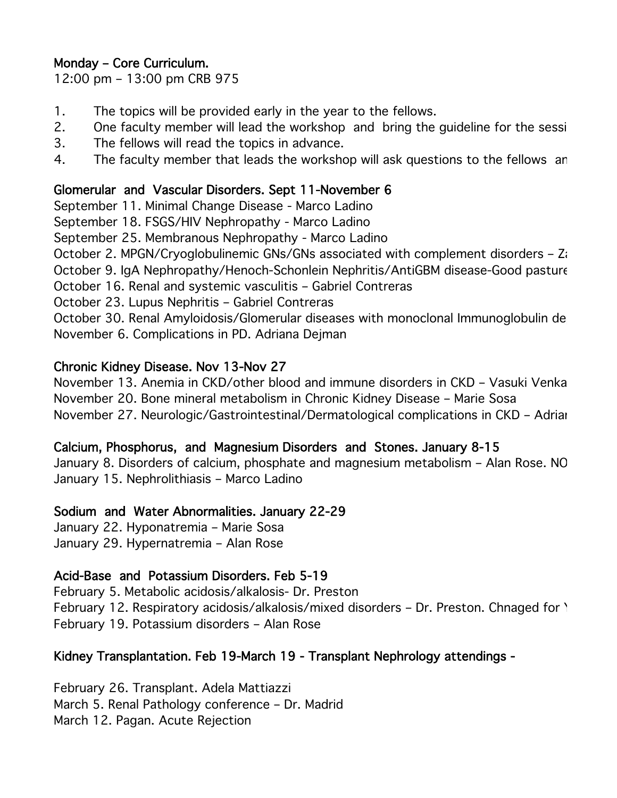# Monday – Core Curriculum.

12:00 pm – 13:00 pm CRB 975

- 1. The topics will be provided early in the year to the fellows.
- 2. One faculty member will lead the workshop and bring the guideline for the session.
- 3. The fellows will read the topics in advance.
- 4. The faculty member that leads the workshop will ask questions to the fellows an

### Glomerular and Vascular Disorders. Sept 11-November 6

September 11. Minimal Change Disease - Marco Ladino

September 18. FSGS/HIV Nephropathy - Marco Ladino

September 25. Membranous Nephropathy - Marco Ladino

October 2. MPGN/Cryoglobulinemic GNs/GNs associated with complement disorders  $-$  Za October 9. IgA Nephropathy/Henoch-Schonlein Nephritis/AntiGBM disease-Good pasture

October 16. Renal and systemic vasculitis – Gabriel Contreras

October 23. Lupus Nephritis – Gabriel Contreras

October 30. Renal Amyloidosis/Glomerular diseases with monoclonal Immunoglobulin de November 6. Complications in PD. Adriana Dejman

### Chronic Kidney Disease. Nov 13-Nov 27

November 13. Anemia in CKD/other blood and immune disorders in CKD – Vasuki Venkat November 20. Bone mineral metabolism in Chronic Kidney Disease – Marie Sosa November 27. Neurologic/Gastrointestinal/Dermatological complications in CKD - Adrian

#### Calcium, Phosphorus, and Magnesium Disorders and Stones. January 8-15

January 8. Disorders of calcium, phosphate and magnesium metabolism - Alan Rose. NO January 15. Nephrolithiasis – Marco Ladino

#### Sodium and Water Abnormalities. January 22-29

January 22. Hyponatremia – Marie Sosa January 29. Hypernatremia – Alan Rose

# Acid-Base and Potassium Disorders. Feb 5-19

February 5. Metabolic acidosis/alkalosis- Dr. Preston February 12. Respiratory acidosis/alkalosis/mixed disorders – Dr. Preston. Chnaged for \ February 19. Potassium disorders – Alan Rose

# Kidney Transplantation. Feb 19-March 19 - Transplant Nephrology attendings -

February 26. Transplant. Adela Mattiazzi March 5. Renal Pathology conference – Dr. Madrid March 12. Pagan. Acute Rejection